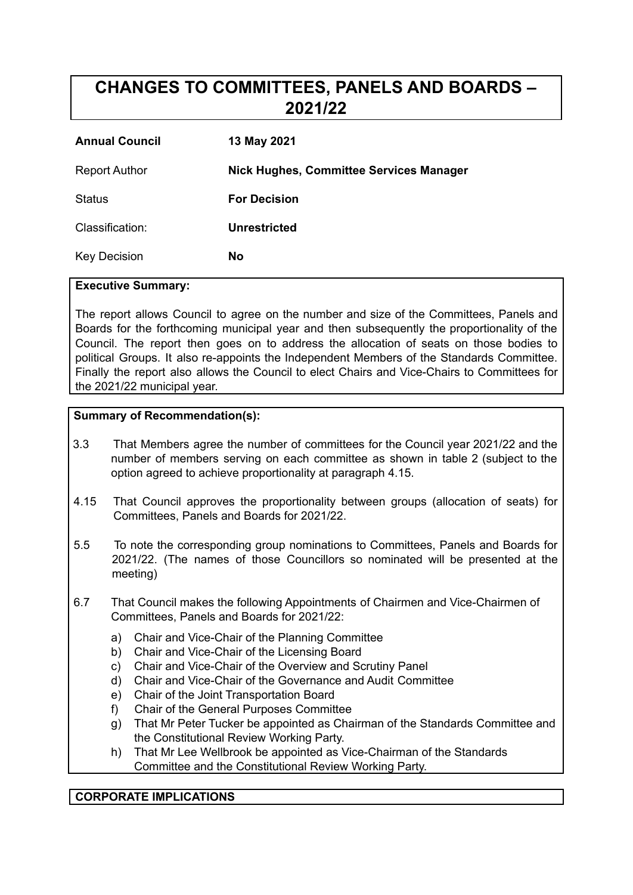# **CHANGES TO COMMITTEES, PANELS AND BOARDS – 2021/22**

| <b>Annual Council</b> | 13 May 2021                                    |
|-----------------------|------------------------------------------------|
| <b>Report Author</b>  | <b>Nick Hughes, Committee Services Manager</b> |
| Status                | <b>For Decision</b>                            |
| Classification:       | <b>Unrestricted</b>                            |
| <b>Key Decision</b>   | <b>No</b>                                      |

#### **Executive Summary:**

The report allows Council to agree on the number and size of the Committees, Panels and Boards for the forthcoming municipal year and then subsequently the proportionality of the Council. The report then goes on to address the allocation of seats on those bodies to political Groups. It also re-appoints the Independent Members of the Standards Committee. Finally the report also allows the Council to elect Chairs and Vice-Chairs to Committees for the 2021/22 municipal year.

#### **Summary of Recommendation(s):**

- 3.3 That Members agree the number of committees for the Council year 2021/22 and the number of members serving on each committee as shown in table 2 (subject to the option agreed to achieve proportionality at paragraph 4.15.
- 4.15 That Council approves the proportionality between groups (allocation of seats) for Committees, Panels and Boards for 2021/22.
- 5.5 To note the corresponding group nominations to Committees, Panels and Boards for 2021/22. (The names of those Councillors so nominated will be presented at the meeting)
- 6.7 That Council makes the following Appointments of Chairmen and Vice-Chairmen of Committees, Panels and Boards for 2021/22:
	- a) Chair and Vice-Chair of the Planning Committee
	- b) Chair and Vice-Chair of the Licensing Board
	- c) Chair and Vice-Chair of the Overview and Scrutiny Panel
	- d) Chair and Vice-Chair of the Governance and Audit Committee
	- e) Chair of the Joint Transportation Board
	- f) Chair of the General Purposes Committee
	- g) That Mr Peter Tucker be appointed as Chairman of the Standards Committee and the Constitutional Review Working Party.
	- h) That Mr Lee Wellbrook be appointed as Vice-Chairman of the Standards Committee and the Constitutional Review Working Party.

#### **CORPORATE IMPLICATIONS**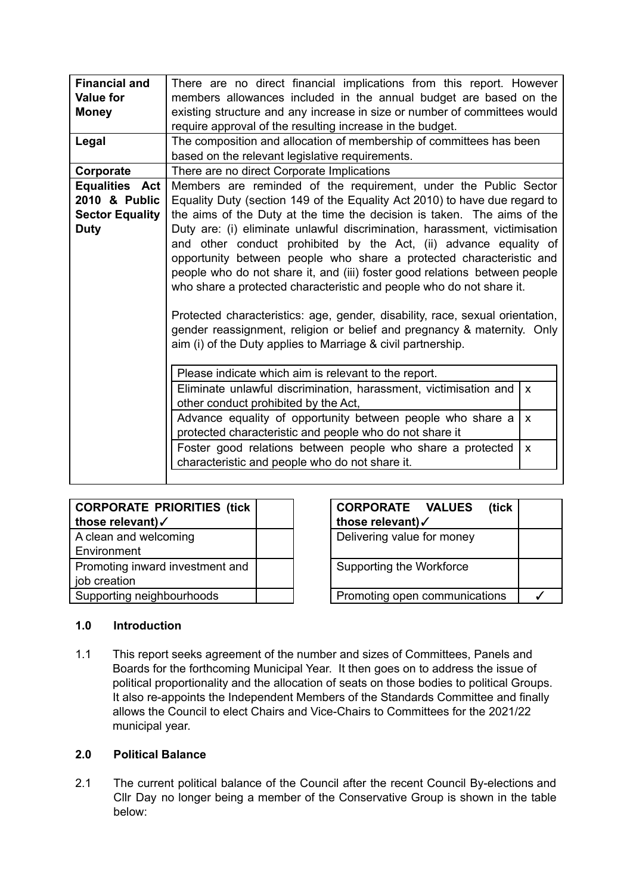| <b>Financial and</b><br><b>Value for</b><br><b>Money</b>                 | There are no direct financial implications from this report. However<br>members allowances included in the annual budget are based on the<br>existing structure and any increase in size or number of committees would<br>require approval of the resulting increase in the budget.                                                                                                                                                                                                                                                                                                                                                                                                                                                                                                                                                   |              |  |  |  |  |
|--------------------------------------------------------------------------|---------------------------------------------------------------------------------------------------------------------------------------------------------------------------------------------------------------------------------------------------------------------------------------------------------------------------------------------------------------------------------------------------------------------------------------------------------------------------------------------------------------------------------------------------------------------------------------------------------------------------------------------------------------------------------------------------------------------------------------------------------------------------------------------------------------------------------------|--------------|--|--|--|--|
| Legal                                                                    | The composition and allocation of membership of committees has been<br>based on the relevant legislative requirements.                                                                                                                                                                                                                                                                                                                                                                                                                                                                                                                                                                                                                                                                                                                |              |  |  |  |  |
| Corporate                                                                | There are no direct Corporate Implications                                                                                                                                                                                                                                                                                                                                                                                                                                                                                                                                                                                                                                                                                                                                                                                            |              |  |  |  |  |
| Equalities Act<br>2010 & Public<br><b>Sector Equality</b><br><b>Duty</b> | Members are reminded of the requirement, under the Public Sector<br>Equality Duty (section 149 of the Equality Act 2010) to have due regard to<br>the aims of the Duty at the time the decision is taken. The aims of the<br>Duty are: (i) eliminate unlawful discrimination, harassment, victimisation<br>and other conduct prohibited by the Act, (ii) advance equality of<br>opportunity between people who share a protected characteristic and<br>people who do not share it, and (iii) foster good relations between people<br>who share a protected characteristic and people who do not share it.<br>Protected characteristics: age, gender, disability, race, sexual orientation,<br>gender reassignment, religion or belief and pregnancy & maternity. Only<br>aim (i) of the Duty applies to Marriage & civil partnership. |              |  |  |  |  |
|                                                                          | Please indicate which aim is relevant to the report.                                                                                                                                                                                                                                                                                                                                                                                                                                                                                                                                                                                                                                                                                                                                                                                  |              |  |  |  |  |
|                                                                          | Eliminate unlawful discrimination, harassment, victimisation and<br>$\mathsf{x}$<br>other conduct prohibited by the Act,                                                                                                                                                                                                                                                                                                                                                                                                                                                                                                                                                                                                                                                                                                              |              |  |  |  |  |
|                                                                          | Advance equality of opportunity between people who share a<br>X<br>protected characteristic and people who do not share it                                                                                                                                                                                                                                                                                                                                                                                                                                                                                                                                                                                                                                                                                                            |              |  |  |  |  |
|                                                                          | Foster good relations between people who share a protected<br>characteristic and people who do not share it.                                                                                                                                                                                                                                                                                                                                                                                                                                                                                                                                                                                                                                                                                                                          | $\mathsf{x}$ |  |  |  |  |
|                                                                          |                                                                                                                                                                                                                                                                                                                                                                                                                                                                                                                                                                                                                                                                                                                                                                                                                                       |              |  |  |  |  |

| <b>CORPORATE PRIORITIES (tick</b> |  |
|-----------------------------------|--|
| those relevant)√                  |  |
| A clean and welcoming             |  |
| Environment                       |  |
| Promoting inward investment and   |  |
| job creation                      |  |
| Supporting neighbourhoods         |  |

| <b>CORPORATE PRIORITIES (tick  </b> | <b>CORPORATE VALUES</b><br>(tick |  |
|-------------------------------------|----------------------------------|--|
| those relevant)√                    | those relevant)√                 |  |
| A clean and welcoming               | Delivering value for money       |  |
| Environment                         |                                  |  |
| Promoting inward investment and     | Supporting the Workforce         |  |
| job creation                        |                                  |  |
| Supporting neighbourhoods           | Promoting open communications    |  |

#### **1.0 Introduction**

1.1 This report seeks agreement of the number and sizes of Committees, Panels and Boards for the forthcoming Municipal Year. It then goes on to address the issue of political proportionality and the allocation of seats on those bodies to political Groups. It also re-appoints the Independent Members of the Standards Committee and finally allows the Council to elect Chairs and Vice-Chairs to Committees for the 2021/22 municipal year.

#### **2.0 Political Balance**

2.1 The current political balance of the Council after the recent Council By-elections and Cllr Day no longer being a member of the Conservative Group is shown in the table below: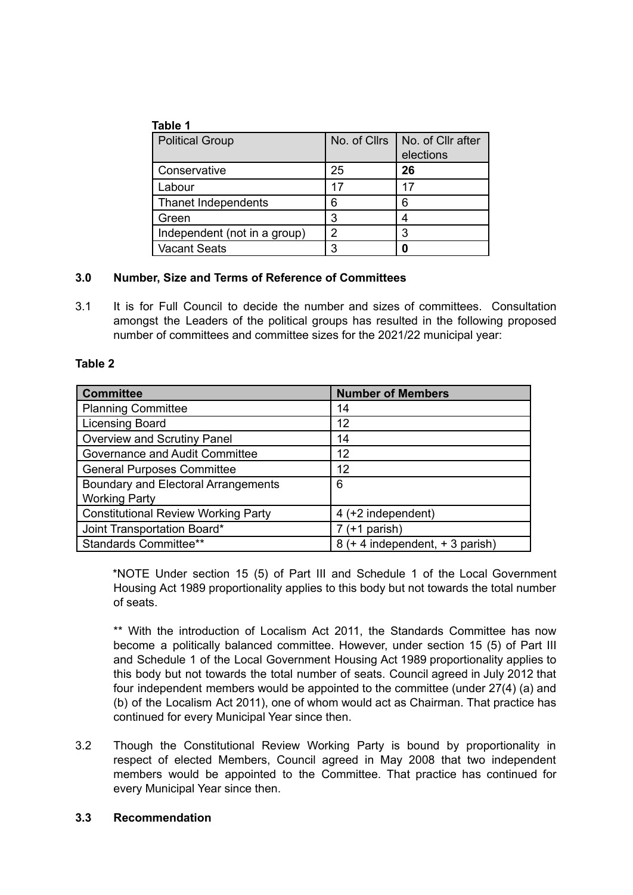|--|--|

| <b>Political Group</b>       | No. of Cllrs | No. of Cllr after<br>elections |
|------------------------------|--------------|--------------------------------|
| Conservative                 | 25           | 26                             |
| Labour                       | 17           | 17                             |
| Thanet Independents          | 6            | 6                              |
| Green                        | 3            |                                |
| Independent (not in a group) | 2            | 3                              |
| <b>Vacant Seats</b>          | 3            |                                |

#### **3.0 Number, Size and Terms of Reference of Committees**

3.1 It is for Full Council to decide the number and sizes of committees. Consultation amongst the Leaders of the political groups has resulted in the following proposed number of committees and committee sizes for the 2021/22 municipal year:

#### **Table 2**

| <b>Committee</b>                           | <b>Number of Members</b>        |
|--------------------------------------------|---------------------------------|
| <b>Planning Committee</b>                  | 14                              |
| <b>Licensing Board</b>                     | 12                              |
| Overview and Scrutiny Panel                | 14                              |
| Governance and Audit Committee             | 12                              |
| <b>General Purposes Committee</b>          | 12                              |
| Boundary and Electoral Arrangements        | 6                               |
| <b>Working Party</b>                       |                                 |
| <b>Constitutional Review Working Party</b> | 4 (+2 independent)              |
| Joint Transportation Board*                | (+1 parish)                     |
| Standards Committee**                      | 8 (+ 4 independent, + 3 parish) |

\*NOTE Under section 15 (5) of Part III and Schedule 1 of the Local Government Housing Act 1989 proportionality applies to this body but not towards the total number of seats.

\*\* With the introduction of Localism Act 2011, the Standards Committee has now become a politically balanced committee. However, under section 15 (5) of Part III and Schedule 1 of the Local Government Housing Act 1989 proportionality applies to this body but not towards the total number of seats. Council agreed in July 2012 that four independent members would be appointed to the committee (under 27(4) (a) and (b) of the Localism Act 2011), one of whom would act as Chairman. That practice has continued for every Municipal Year since then.

3.2 Though the Constitutional Review Working Party is bound by proportionality in respect of elected Members, Council agreed in May 2008 that two independent members would be appointed to the Committee. That practice has continued for every Municipal Year since then.

#### **3.3 Recommendation**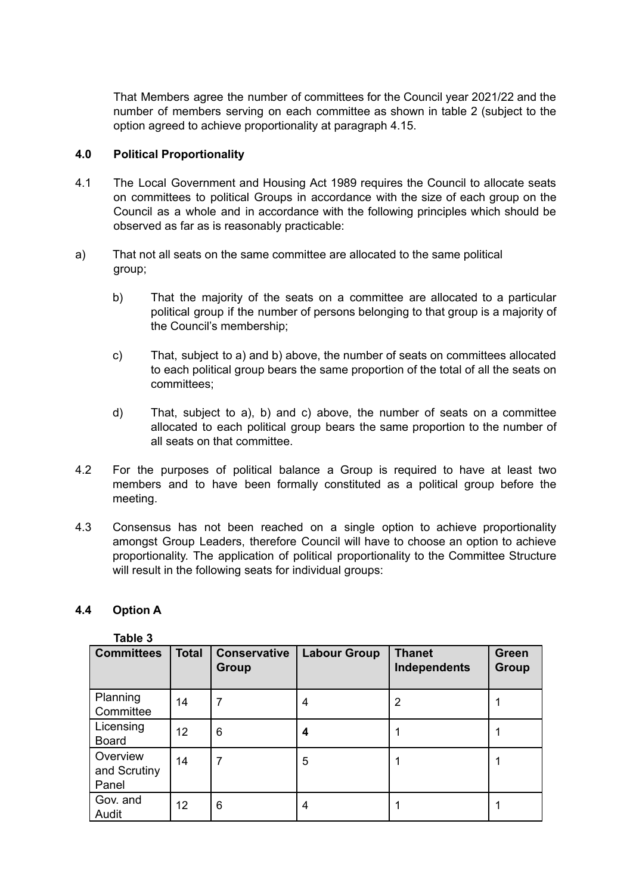That Members agree the number of committees for the Council year 2021/22 and the number of members serving on each committee as shown in table 2 (subject to the option agreed to achieve proportionality at paragraph 4.15.

#### **4.0 Political Proportionality**

- 4.1 The Local Government and Housing Act 1989 requires the Council to allocate seats on committees to political Groups in accordance with the size of each group on the Council as a whole and in accordance with the following principles which should be observed as far as is reasonably practicable:
- a) That not all seats on the same committee are allocated to the same political group;
	- b) That the majority of the seats on a committee are allocated to a particular political group if the number of persons belonging to that group is a majority of the Council's membership;
	- c) That, subject to a) and b) above, the number of seats on committees allocated to each political group bears the same proportion of the total of all the seats on committees;
	- d) That, subject to a), b) and c) above, the number of seats on a committee allocated to each political group bears the same proportion to the number of all seats on that committee.
- 4.2 For the purposes of political balance a Group is required to have at least two members and to have been formally constituted as a political group before the meeting.
- 4.3 Consensus has not been reached on a single option to achieve proportionality amongst Group Leaders, therefore Council will have to choose an option to achieve proportionality. The application of political proportionality to the Committee Structure will result in the following seats for individual groups:

#### **4.4 Option A**

**Table 3**

| <b>Committees</b>                 | <b>Total</b>    | <b>Conservative</b><br><b>Group</b> | <b>Labour Group</b> | <b>Thanet</b><br>Independents | <b>Green</b><br><b>Group</b> |
|-----------------------------------|-----------------|-------------------------------------|---------------------|-------------------------------|------------------------------|
| Planning<br>Committee             | 14              | 7                                   | 4                   | 2                             |                              |
| Licensing<br><b>Board</b>         | 12 <sup>2</sup> | 6                                   | 4                   |                               |                              |
| Overview<br>and Scrutiny<br>Panel | 14              |                                     | 5                   |                               |                              |
| Gov. and<br>Audit                 | 12 <sub>2</sub> | 6                                   | 4                   |                               |                              |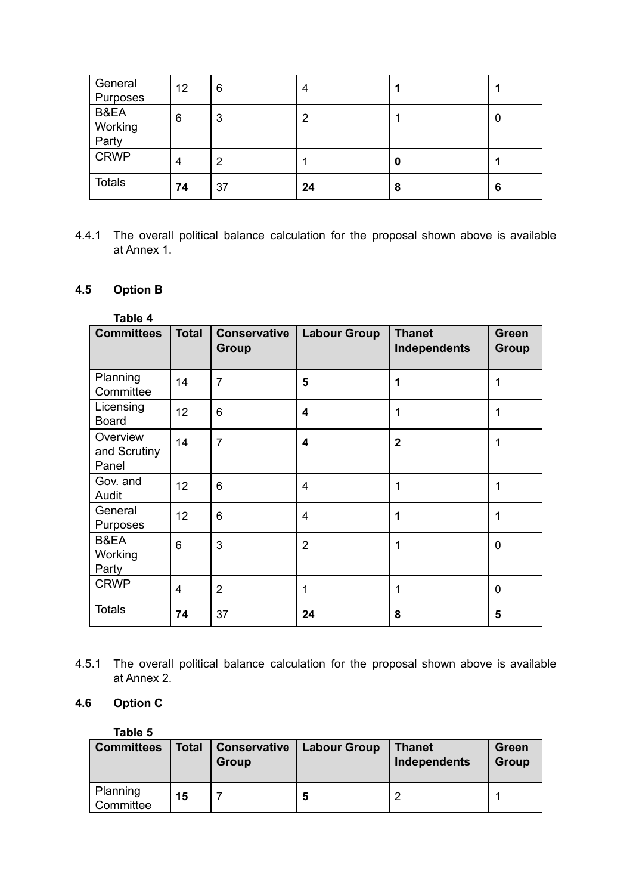| General<br>Purposes      | 12 | 6              | 4  |   |   |
|--------------------------|----|----------------|----|---|---|
| B&EA<br>Working<br>Party | 6  | 3              | 2  |   | 0 |
| <b>CRWP</b>              | 4  | $\overline{2}$ |    | 0 |   |
| <b>Totals</b>            | 74 | 37             | 24 | 8 | 6 |

4.4.1 The overall political balance calculation for the proposal shown above is available at Annex 1.

## **4.5 Option B**

| Table 4                           |                |                              |                     |                               |                              |
|-----------------------------------|----------------|------------------------------|---------------------|-------------------------------|------------------------------|
| <b>Committees</b>                 | <b>Total</b>   | <b>Conservative</b><br>Group | <b>Labour Group</b> | <b>Thanet</b><br>Independents | <b>Green</b><br><b>Group</b> |
| Planning<br>Committee             | 14             | $\overline{7}$               | 5                   | 1                             | 1                            |
| Licensing<br><b>Board</b>         | 12             | 6                            | 4                   | 1                             | 1                            |
| Overview<br>and Scrutiny<br>Panel | 14             | $\overline{7}$               | 4                   | $\overline{2}$                | 1                            |
| Gov. and<br>Audit                 | 12             | 6                            | 4                   | 1                             | 1                            |
| General<br>Purposes               | 12             | 6                            | $\overline{4}$      | 1                             | 1                            |
| B&EA<br>Working<br>Party          | 6              | 3                            | $\overline{2}$      | 1                             | 0                            |
| <b>CRWP</b>                       | $\overline{4}$ | $\overline{2}$               | 1                   | 1                             | $\mathbf 0$                  |
| <b>Totals</b>                     | 74             | 37                           | 24                  | 8                             | 5                            |

4.5.1 The overall political balance calculation for the proposal shown above is available at Annex 2.

#### **4.6 Option C**

| Table 5               |              |                              |                     |                               |                |
|-----------------------|--------------|------------------------------|---------------------|-------------------------------|----------------|
| <b>Committees</b>     | <b>Total</b> | <b>Conservative</b><br>Group | <b>Labour Group</b> | <b>Thanet</b><br>Independents | Green<br>Group |
| Planning<br>Committee | 15           |                              | 5                   | n                             |                |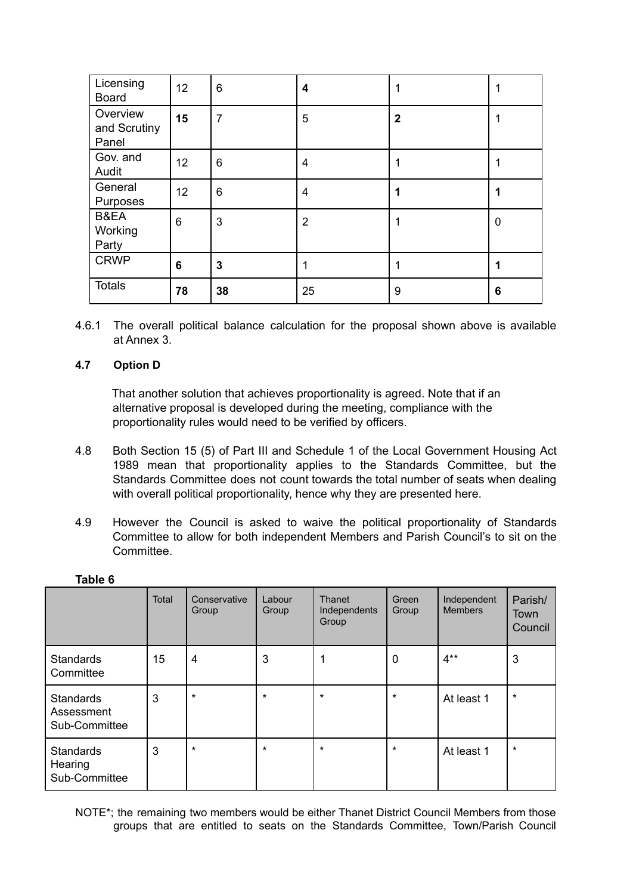| Licensing<br><b>Board</b>         | 12 | 6              | 4              | 1              |          |
|-----------------------------------|----|----------------|----------------|----------------|----------|
| Overview<br>and Scrutiny<br>Panel | 15 | $\overline{7}$ | 5              | $\overline{2}$ |          |
| Gov. and<br>Audit                 | 12 | 6              | 4              | 1              |          |
| General<br>Purposes               | 12 | 6              | 4              | 1              |          |
| B&EA<br>Working<br>Party          | 6  | 3              | $\overline{2}$ | 1              | $\Omega$ |
| <b>CRWP</b>                       | 6  | 3              | 1              | 1              |          |
| <b>Totals</b>                     | 78 | 38             | 25             | 9              | 6        |

4.6.1 The overall political balance calculation for the proposal shown above is available at Annex 3.

#### **4.7 Option D**

**Table 6**

That another solution that achieves proportionality is agreed. Note that if an alternative proposal is developed during the meeting, compliance with the proportionality rules would need to be verified by officers.

- 4.8 Both Section 15 (5) of Part III and Schedule 1 of the Local Government Housing Act 1989 mean that proportionality applies to the Standards Committee, but the Standards Committee does not count towards the total number of seats when dealing with overall political proportionality, hence why they are presented here.
- 4.9 However the Council is asked to waive the political proportionality of Standards Committee to allow for both independent Members and Parish Council's to sit on the Committee.

|                                          | Total | Conservative<br>Group | Labour<br>Group | Thanet<br>Independents<br>Group | Green<br>Group | Independent<br><b>Members</b> | Parish/<br>Town<br>Council |
|------------------------------------------|-------|-----------------------|-----------------|---------------------------------|----------------|-------------------------------|----------------------------|
| <b>Standards</b><br>Committee            | 15    | 4                     | 3               | 1                               | 0              | $4***$                        | 3                          |
| Standards<br>Assessment<br>Sub-Committee | 3     | $\star$               | $\star$         | $\star$                         | $\star$        | At least 1                    | $\star$                    |
| Standards<br>Hearing<br>Sub-Committee    | 3     | $\star$               | $\star$         | $\star$                         | $\star$        | At least 1                    | $\star$                    |

NOTE\*; the remaining two members would be either Thanet District Council Members from those groups that are entitled to seats on the Standards Committee, Town/Parish Council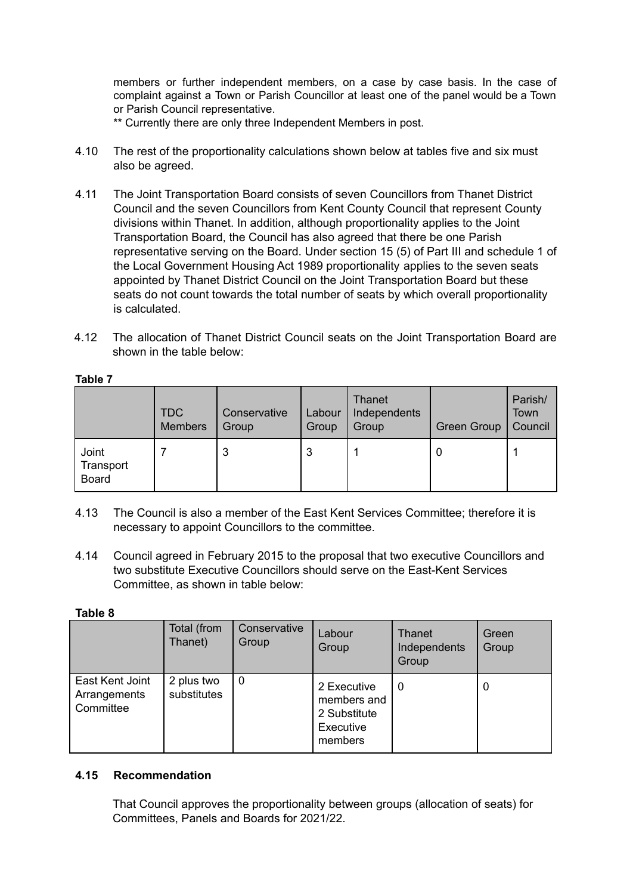members or further independent members, on a case by case basis. In the case of complaint against a Town or Parish Councillor at least one of the panel would be a Town or Parish Council representative.

\*\* Currently there are only three Independent Members in post.

- 4.10 The rest of the proportionality calculations shown below at tables five and six must also be agreed.
- 4.11 The Joint Transportation Board consists of seven Councillors from Thanet District Council and the seven Councillors from Kent County Council that represent County divisions within Thanet. In addition, although proportionality applies to the Joint Transportation Board, the Council has also agreed that there be one Parish representative serving on the Board. Under section 15 (5) of Part III and schedule 1 of the Local Government Housing Act 1989 proportionality applies to the seven seats appointed by Thanet District Council on the Joint Transportation Board but these seats do not count towards the total number of seats by which overall proportionality is calculated.
- 4.12 The allocation of Thanet District Council seats on the Joint Transportation Board are shown in the table below:

|                                    | <b>TDC</b><br><b>Members</b> | Conservative<br>Group | Labour<br>Group | Thanet<br>Independents<br>Group | <b>Green Group</b> | Parish/<br>Town<br>Council |
|------------------------------------|------------------------------|-----------------------|-----------------|---------------------------------|--------------------|----------------------------|
| Joint<br>Transport<br><b>Board</b> |                              | 3                     | 3               |                                 | 0                  |                            |

#### **Table 7**

- 4.13 The Council is also a member of the East Kent Services Committee; therefore it is necessary to appoint Councillors to the committee.
- 4.14 Council agreed in February 2015 to the proposal that two executive Councillors and two substitute Executive Councillors should serve on the East-Kent Services Committee, as shown in table below:

#### **Table 8**

|                                              | Total (from<br>Thanet)    | Conservative<br>Group | Labour<br>Group                                                    | Thanet<br>Independents<br>Group | Green<br>Group |
|----------------------------------------------|---------------------------|-----------------------|--------------------------------------------------------------------|---------------------------------|----------------|
| East Kent Joint<br>Arrangements<br>Committee | 2 plus two<br>substitutes | $\mathbf 0$           | 2 Executive<br>members and<br>2 Substitute<br>Executive<br>members | 0                               | O              |

#### **4.15 Recommendation**

That Council approves the proportionality between groups (allocation of seats) for Committees, Panels and Boards for 2021/22.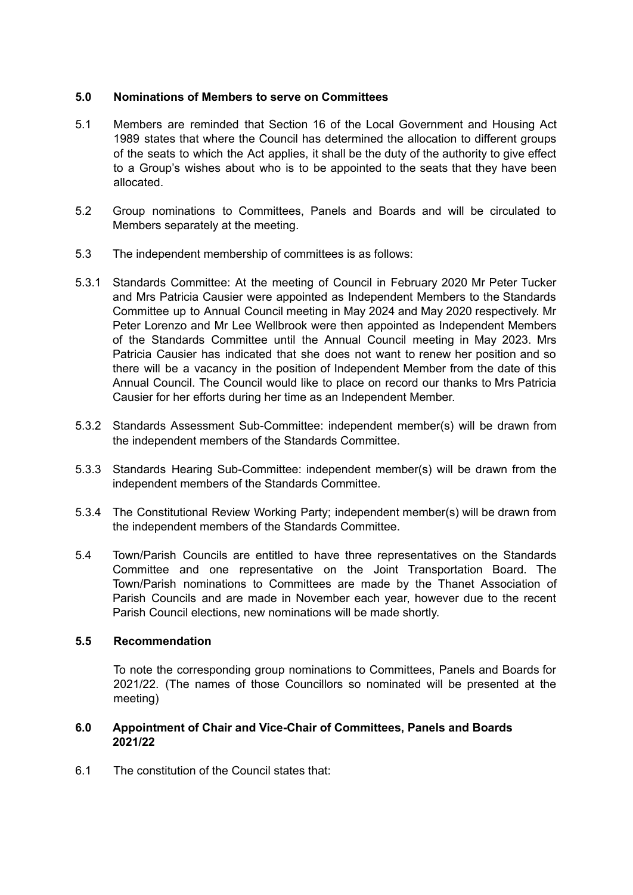#### **5.0 Nominations of Members to serve on Committees**

- 5.1 Members are reminded that Section 16 of the Local Government and Housing Act 1989 states that where the Council has determined the allocation to different groups of the seats to which the Act applies, it shall be the duty of the authority to give effect to a Group's wishes about who is to be appointed to the seats that they have been allocated.
- 5.2 Group nominations to Committees, Panels and Boards and will be circulated to Members separately at the meeting.
- 5.3 The independent membership of committees is as follows:
- 5.3.1 Standards Committee: At the meeting of Council in February 2020 Mr Peter Tucker and Mrs Patricia Causier were appointed as Independent Members to the Standards Committee up to Annual Council meeting in May 2024 and May 2020 respectively. Mr Peter Lorenzo and Mr Lee Wellbrook were then appointed as Independent Members of the Standards Committee until the Annual Council meeting in May 2023. Mrs Patricia Causier has indicated that she does not want to renew her position and so there will be a vacancy in the position of Independent Member from the date of this Annual Council. The Council would like to place on record our thanks to Mrs Patricia Causier for her efforts during her time as an Independent Member.
- 5.3.2 Standards Assessment Sub-Committee: independent member(s) will be drawn from the independent members of the Standards Committee.
- 5.3.3 Standards Hearing Sub-Committee: independent member(s) will be drawn from the independent members of the Standards Committee.
- 5.3.4 The Constitutional Review Working Party; independent member(s) will be drawn from the independent members of the Standards Committee.
- 5.4 Town/Parish Councils are entitled to have three representatives on the Standards Committee and one representative on the Joint Transportation Board. The Town/Parish nominations to Committees are made by the Thanet Association of Parish Councils and are made in November each year, however due to the recent Parish Council elections, new nominations will be made shortly.

#### **5.5 Recommendation**

To note the corresponding group nominations to Committees, Panels and Boards for 2021/22. (The names of those Councillors so nominated will be presented at the meeting)

#### **6.0 Appointment of Chair and Vice-Chair of Committees, Panels and Boards 2021/22**

6.1 The constitution of the Council states that: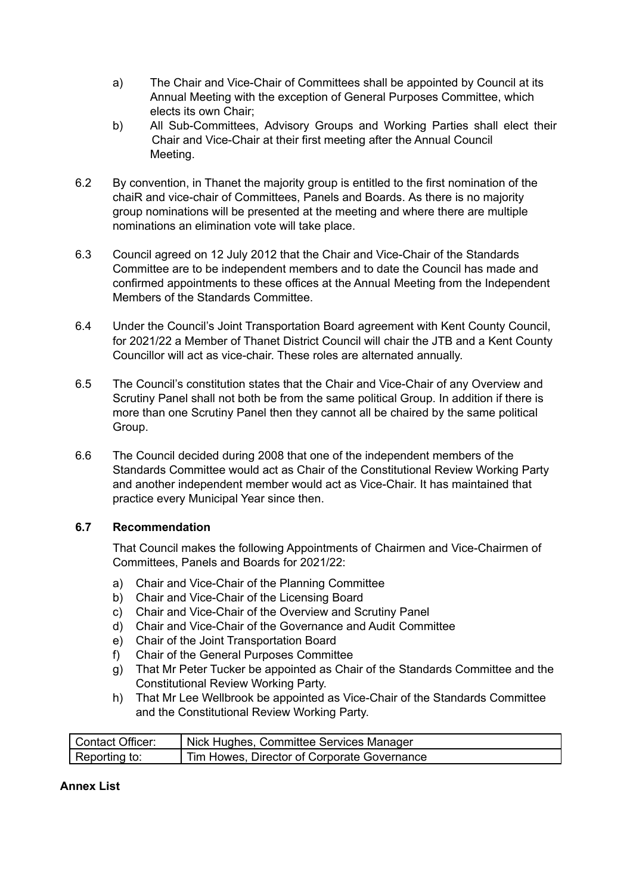- a) The Chair and Vice-Chair of Committees shall be appointed by Council at its Annual Meeting with the exception of General Purposes Committee, which elects its own Chair;
- b) All Sub-Committees, Advisory Groups and Working Parties shall elect their Chair and Vice-Chair at their first meeting after the Annual Council Meeting.
- 6.2 By convention, in Thanet the majority group is entitled to the first nomination of the chaiR and vice-chair of Committees, Panels and Boards. As there is no majority group nominations will be presented at the meeting and where there are multiple nominations an elimination vote will take place.
- 6.3 Council agreed on 12 July 2012 that the Chair and Vice-Chair of the Standards Committee are to be independent members and to date the Council has made and confirmed appointments to these offices at the Annual Meeting from the Independent Members of the Standards Committee.
- 6.4 Under the Council's Joint Transportation Board agreement with Kent County Council, for 2021/22 a Member of Thanet District Council will chair the JTB and a Kent County Councillor will act as vice-chair. These roles are alternated annually.
- 6.5 The Council's constitution states that the Chair and Vice-Chair of any Overview and Scrutiny Panel shall not both be from the same political Group. In addition if there is more than one Scrutiny Panel then they cannot all be chaired by the same political Group.
- 6.6 The Council decided during 2008 that one of the independent members of the Standards Committee would act as Chair of the Constitutional Review Working Party and another independent member would act as Vice-Chair. It has maintained that practice every Municipal Year since then.

#### **6.7 Recommendation**

That Council makes the following Appointments of Chairmen and Vice-Chairmen of Committees, Panels and Boards for 2021/22:

- a) Chair and Vice-Chair of the Planning Committee
- b) Chair and Vice-Chair of the Licensing Board
- c) Chair and Vice-Chair of the Overview and Scrutiny Panel
- d) Chair and Vice-Chair of the Governance and Audit Committee
- e) Chair of the Joint Transportation Board
- f) Chair of the General Purposes Committee
- g) That Mr Peter Tucker be appointed as Chair of the Standards Committee and the Constitutional Review Working Party.
- h) That Mr Lee Wellbrook be appointed as Vice-Chair of the Standards Committee and the Constitutional Review Working Party.

| <b>Contact Officer:</b> | Nick Hughes, Committee Services Manager     |
|-------------------------|---------------------------------------------|
| Reporting to:           | Tim Howes, Director of Corporate Governance |

#### **Annex List**